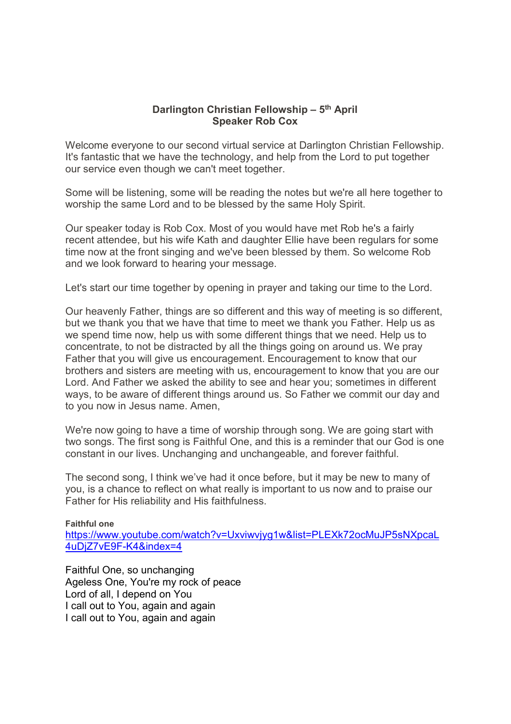## **Darlington Christian Fellowship – 5th April Speaker Rob Cox**

Welcome everyone to our second virtual service at Darlington Christian Fellowship. It's fantastic that we have the technology, and help from the Lord to put together our service even though we can't meet together.

Some will be listening, some will be reading the notes but we're all here together to worship the same Lord and to be blessed by the same Holy Spirit.

Our speaker today is Rob Cox. Most of you would have met Rob he's a fairly recent attendee, but his wife Kath and daughter Ellie have been regulars for some time now at the front singing and we've been blessed by them. So welcome Rob and we look forward to hearing your message.

Let's start our time together by opening in prayer and taking our time to the Lord.

Our heavenly Father, things are so different and this way of meeting is so different, but we thank you that we have that time to meet we thank you Father. Help us as we spend time now, help us with some different things that we need. Help us to concentrate, to not be distracted by all the things going on around us. We pray Father that you will give us encouragement. Encouragement to know that our brothers and sisters are meeting with us, encouragement to know that you are our Lord. And Father we asked the ability to see and hear you; sometimes in different ways, to be aware of different things around us. So Father we commit our day and to you now in Jesus name. Amen,

We're now going to have a time of worship through song. We are going start with two songs. The first song is Faithful One, and this is a reminder that our God is one constant in our lives. Unchanging and unchangeable, and forever faithful.

The second song, I think we've had it once before, but it may be new to many of you, is a chance to reflect on what really is important to us now and to praise our Father for His reliability and His faithfulness.

**Faithful one**  [https://www.youtube.com/watch?v=Uxviwvjyg1w&list=PLEXk72ocMuJP5sNXpcaL](https://www.youtube.com/watch?v=Uxviwvjyg1w&list=PLEXk72ocMuJP5sNXpcaL4uDjZ7vE9F-K4&index=4) [4uDjZ7vE9F-K4&index=4](https://www.youtube.com/watch?v=Uxviwvjyg1w&list=PLEXk72ocMuJP5sNXpcaL4uDjZ7vE9F-K4&index=4)

Faithful One, so unchanging Ageless One, You're my rock of peace Lord of all, I depend on You I call out to You, again and again I call out to You, again and again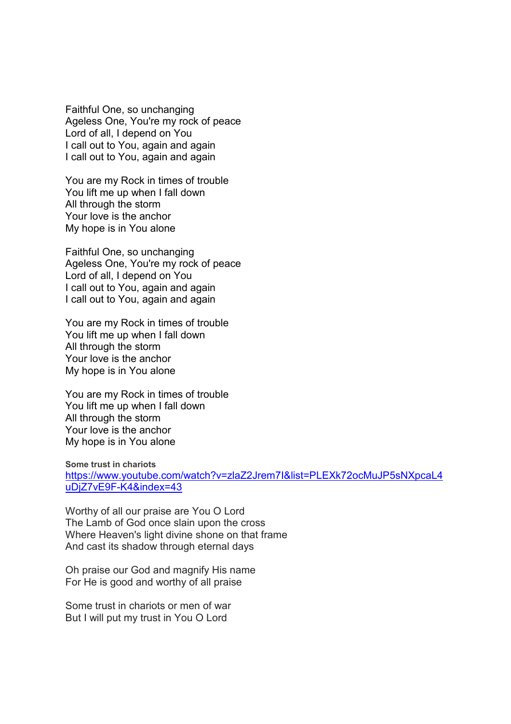Faithful One, so unchanging Ageless One, You're my rock of peace Lord of all, I depend on You I call out to You, again and again I call out to You, again and again

You are my Rock in times of trouble You lift me up when I fall down All through the storm Your love is the anchor My hope is in You alone

Faithful One, so unchanging Ageless One, You're my rock of peace Lord of all, I depend on You I call out to You, again and again I call out to You, again and again

You are my Rock in times of trouble You lift me up when I fall down All through the storm Your love is the anchor My hope is in You alone

You are my Rock in times of trouble You lift me up when I fall down All through the storm Your love is the anchor My hope is in You alone

**Some trust in chariots** [https://www.youtube.com/watch?v=zlaZ2Jrem7I&list=PLEXk72ocMuJP5sNXpcaL4](https://www.youtube.com/watch?v=zlaZ2Jrem7I&list=PLEXk72ocMuJP5sNXpcaL4uDjZ7vE9F-K4&index=43) [uDjZ7vE9F-K4&index=43](https://www.youtube.com/watch?v=zlaZ2Jrem7I&list=PLEXk72ocMuJP5sNXpcaL4uDjZ7vE9F-K4&index=43)

Worthy of all our praise are You O Lord The Lamb of God once slain upon the cross Where Heaven's light divine shone on that frame And cast its shadow through eternal days

Oh praise our God and magnify His name For He is good and worthy of all praise

Some trust in chariots or men of war But I will put my trust in You O Lord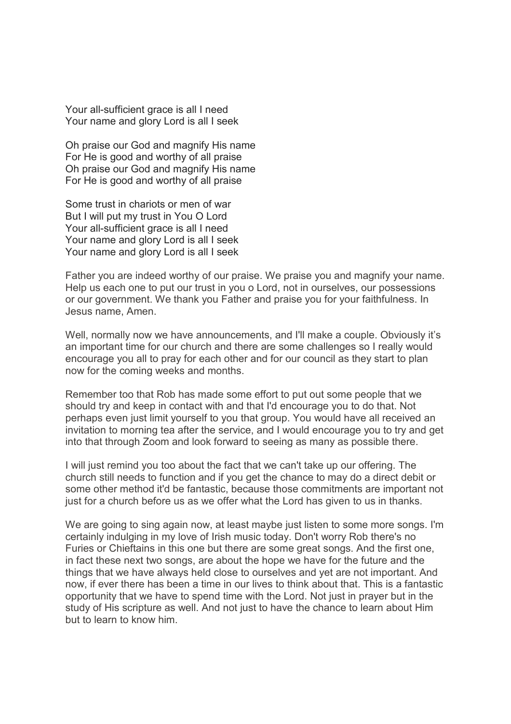Your all-sufficient grace is all I need Your name and glory Lord is all I seek

Oh praise our God and magnify His name For He is good and worthy of all praise Oh praise our God and magnify His name For He is good and worthy of all praise

Some trust in chariots or men of war But I will put my trust in You O Lord Your all-sufficient grace is all I need Your name and glory Lord is all I seek Your name and glory Lord is all I seek

Father you are indeed worthy of our praise. We praise you and magnify your name. Help us each one to put our trust in you o Lord, not in ourselves, our possessions or our government. We thank you Father and praise you for your faithfulness. In Jesus name, Amen.

Well, normally now we have announcements, and I'll make a couple. Obviously it's an important time for our church and there are some challenges so I really would encourage you all to pray for each other and for our council as they start to plan now for the coming weeks and months.

Remember too that Rob has made some effort to put out some people that we should try and keep in contact with and that I'd encourage you to do that. Not perhaps even just limit yourself to you that group. You would have all received an invitation to morning tea after the service, and I would encourage you to try and get into that through Zoom and look forward to seeing as many as possible there.

I will just remind you too about the fact that we can't take up our offering. The church still needs to function and if you get the chance to may do a direct debit or some other method it'd be fantastic, because those commitments are important not just for a church before us as we offer what the Lord has given to us in thanks.

We are going to sing again now, at least maybe just listen to some more songs. I'm certainly indulging in my love of Irish music today. Don't worry Rob there's no Furies or Chieftains in this one but there are some great songs. And the first one, in fact these next two songs, are about the hope we have for the future and the things that we have always held close to ourselves and yet are not important. And now, if ever there has been a time in our lives to think about that. This is a fantastic opportunity that we have to spend time with the Lord. Not just in prayer but in the study of His scripture as well. And not just to have the chance to learn about Him but to learn to know him.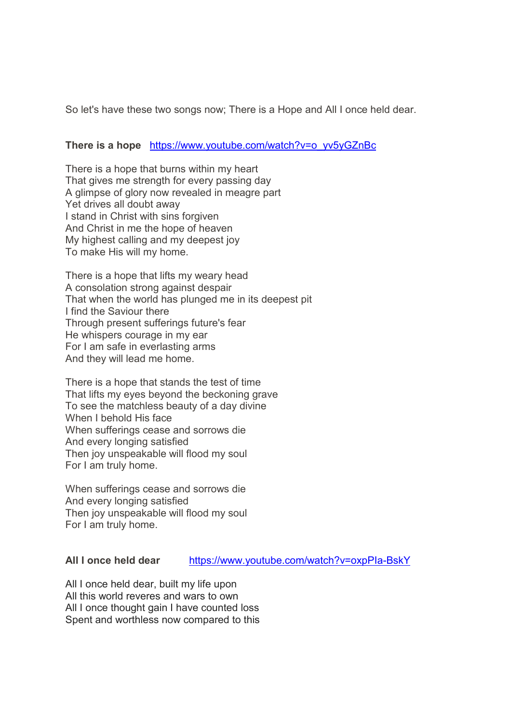So let's have these two songs now; There is a Hope and All I once held dear.

### **There is a hope**[https://www.youtube.com/watch?v=o\\_yv5yGZnBc](https://www.youtube.com/watch?v=o_yv5yGZnBc)

There is a hope that burns within my heart That gives me strength for every passing day A glimpse of glory now revealed in meagre part Yet drives all doubt away I stand in Christ with sins forgiven And Christ in me the hope of heaven My highest calling and my deepest joy To make His will my home.

There is a hope that lifts my weary head A consolation strong against despair That when the world has plunged me in its deepest pit I find the Saviour there Through present sufferings future's fear He whispers courage in my ear For I am safe in everlasting arms And they will lead me home.

There is a hope that stands the test of time That lifts my eyes beyond the beckoning grave To see the matchless beauty of a day divine When I behold His face When sufferings cease and sorrows die And every longing satisfied Then joy unspeakable will flood my soul For I am truly home.

When sufferings cease and sorrows die And every longing satisfied Then joy unspeakable will flood my soul For I am truly home.

**All I once held dear** <https://www.youtube.com/watch?v=oxpPIa-BskY>

All I once held dear, built my life upon All this world reveres and wars to own All I once thought gain I have counted loss Spent and worthless now compared to this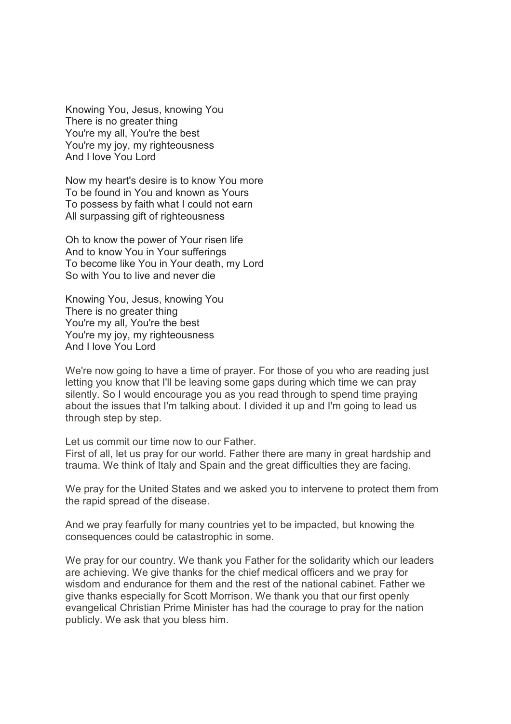Knowing You, Jesus, knowing You There is no greater thing You're my all, You're the best You're my joy, my righteousness And I love You Lord

Now my heart's desire is to know You more To be found in You and known as Yours To possess by faith what I could not earn All surpassing gift of righteousness

Oh to know the power of Your risen life And to know You in Your sufferings To become like You in Your death, my Lord So with You to live and never die

Knowing You, Jesus, knowing You There is no greater thing You're my all, You're the best You're my joy, my righteousness And I love You Lord

We're now going to have a time of prayer. For those of you who are reading just letting you know that I'll be leaving some gaps during which time we can pray silently. So I would encourage you as you read through to spend time praying about the issues that I'm talking about. I divided it up and I'm going to lead us through step by step.

Let us commit our time now to our Father. First of all, let us pray for our world. Father there are many in great hardship and trauma. We think of Italy and Spain and the great difficulties they are facing.

We pray for the United States and we asked you to intervene to protect them from the rapid spread of the disease.

And we pray fearfully for many countries yet to be impacted, but knowing the consequences could be catastrophic in some.

We pray for our country. We thank you Father for the solidarity which our leaders are achieving. We give thanks for the chief medical officers and we pray for wisdom and endurance for them and the rest of the national cabinet. Father we give thanks especially for Scott Morrison. We thank you that our first openly evangelical Christian Prime Minister has had the courage to pray for the nation publicly. We ask that you bless him.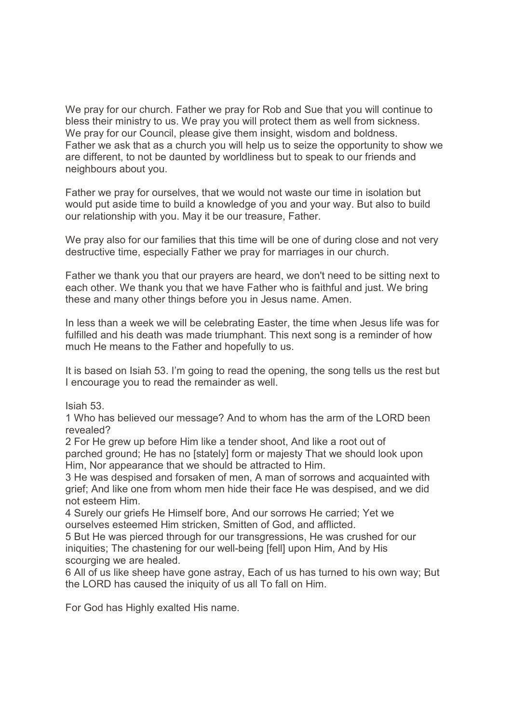We pray for our church. Father we pray for Rob and Sue that you will continue to bless their ministry to us. We pray you will protect them as well from sickness. We pray for our Council, please give them insight, wisdom and boldness. Father we ask that as a church you will help us to seize the opportunity to show we are different, to not be daunted by worldliness but to speak to our friends and neighbours about you.

Father we pray for ourselves, that we would not waste our time in isolation but would put aside time to build a knowledge of you and your way. But also to build our relationship with you. May it be our treasure, Father.

We pray also for our families that this time will be one of during close and not very destructive time, especially Father we pray for marriages in our church.

Father we thank you that our prayers are heard, we don't need to be sitting next to each other. We thank you that we have Father who is faithful and just. We bring these and many other things before you in Jesus name. Amen.

In less than a week we will be celebrating Easter, the time when Jesus life was for fulfilled and his death was made triumphant. This next song is a reminder of how much He means to the Father and hopefully to us.

It is based on Isiah 53. I'm going to read the opening, the song tells us the rest but I encourage you to read the remainder as well.

Isiah 53.

1 [Who](https://biblesuite.com/hebrew/4310.htm) [has believed](https://biblesuite.com/hebrew/539.htm) [our message?](https://biblesuite.com/hebrew/8052.htm) [And to whom](https://biblesuite.com/hebrew/4310.htm) [has the arm](https://biblesuite.com/hebrew/2220.htm) [of the LORD](https://biblesuite.com/hebrew/3068.htm) [been](https://biblesuite.com/hebrew/1540.htm)  [revealed?](https://biblesuite.com/hebrew/1540.htm)

2 [For He grew](https://biblesuite.com/hebrew/5927.htm) [up before](https://biblesuite.com/hebrew/6440.htm) [Him like a tender](https://biblesuite.com/hebrew/3126.htm) [shoot,](https://biblesuite.com/hebrew/3126.htm) [And like a root](https://biblesuite.com/hebrew/8328.htm) [out of](https://biblesuite.com/hebrew/6723.htm)  [parched](https://biblesuite.com/hebrew/6723.htm) [ground;](https://biblesuite.com/hebrew/776.htm) [He has no](https://biblesuite.com/hebrew/3808.htm) [\[stately\] form](https://biblesuite.com/hebrew/8389.htm) [or majesty](https://biblesuite.com/hebrew/1926.htm) [That we should look](https://biblesuite.com/hebrew/7200.htm) [upon](https://biblesuite.com/hebrew/3808.htm)  [Him, Nor](https://biblesuite.com/hebrew/3808.htm) [appearance](https://biblesuite.com/hebrew/4758.htm) [that we should be attracted](https://biblesuite.com/hebrew/2530.htm) [to Him.](https://biblehub.com/strongs.htm)

3 [He was despised](https://biblesuite.com/hebrew/959.htm) [and forsaken](https://biblesuite.com/hebrew/2310.htm) [of men,](https://biblesuite.com/hebrew/376.htm) [A man](https://biblesuite.com/hebrew/376.htm) [of sorrows](https://biblesuite.com/hebrew/4341.htm) [and acquainted](https://biblesuite.com/hebrew/3045.htm) [with](https://biblesuite.com/hebrew/2483.htm)  [grief;](https://biblesuite.com/hebrew/2483.htm) [And like one from whom men hide](https://biblesuite.com/hebrew/4564.htm) [their face](https://biblesuite.com/hebrew/6440.htm) [He was despised,](https://biblesuite.com/hebrew/959.htm) [and we did](https://biblesuite.com/hebrew/2803.htm)  [not esteem](https://biblesuite.com/hebrew/2803.htm) [Him.](https://biblehub.com/strongs.htm)

4 [Surely](https://biblesuite.com/hebrew/403.htm) [our griefs](https://biblesuite.com/hebrew/2483.htm) [He Himself](https://biblesuite.com/hebrew/1931.htm) [bore,](https://biblesuite.com/hebrew/5375.htm) [And our sorrows](https://biblesuite.com/hebrew/4341.htm) [He carried;](https://biblesuite.com/hebrew/5445.htm) [Yet we](https://biblesuite.com/hebrew/587.htm)  [ourselves](https://biblesuite.com/hebrew/587.htm) [esteemed](https://biblesuite.com/hebrew/2803.htm) [Him stricken,](https://biblesuite.com/hebrew/5060.htm) [Smitten](https://biblesuite.com/hebrew/5221.htm) [of God,](https://biblesuite.com/hebrew/430.htm) [and afflicted.](https://biblesuite.com/hebrew/6031a.htm)

5 [But He was pierced](https://biblesuite.com/hebrew/2490a.htm) [through](https://biblesuite.com/hebrew/2490a.htm) [for our transgressions,](https://biblesuite.com/hebrew/6588.htm) [He was crushed](https://biblesuite.com/hebrew/1792.htm) [for our](https://biblesuite.com/hebrew/5771.htm)  [iniquities;](https://biblesuite.com/hebrew/5771.htm) [The chastening](https://biblesuite.com/hebrew/4148.htm) [for our well-being](https://biblesuite.com/hebrew/7965.htm) [\[fell\] upon Him, And by His](https://biblesuite.com/hebrew/2250.htm)  [scourging](https://biblesuite.com/hebrew/2250.htm) [we are healed.](https://biblesuite.com/hebrew/7495.htm)

6 [All](https://biblesuite.com/hebrew/3605.htm) [of us like sheep](https://biblesuite.com/hebrew/6629.htm) have [gone](https://biblesuite.com/hebrew/8582.htm) [astray,](https://biblesuite.com/hebrew/8582.htm) [Each](https://biblesuite.com/hebrew/376.htm) [of us has turned](https://biblesuite.com/hebrew/6437.htm) [to his own way;](https://biblesuite.com/hebrew/1870.htm) [But](https://biblesuite.com/hebrew/3068.htm)  [the LORD](https://biblesuite.com/hebrew/3068.htm) [has caused the iniquity](https://biblesuite.com/hebrew/5771.htm) [of us all](https://biblesuite.com/hebrew/3605.htm) [To fall](https://biblesuite.com/hebrew/6293.htm) [on Him.](https://biblehub.com/strongs.htm)

For God has Highly exalted His name.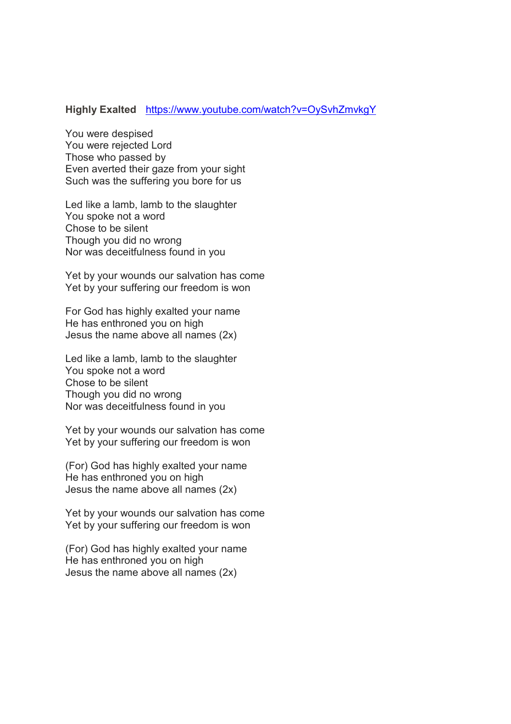### **Highly Exalted**<https://www.youtube.com/watch?v=OySvhZmvkgY>

You were despised You were rejected Lord Those who passed by Even averted their gaze from your sight Such was the suffering you bore for us

Led like a lamb, lamb to the slaughter You spoke not a word Chose to be silent Though you did no wrong Nor was deceitfulness found in you

Yet by your wounds our salvation has come Yet by your suffering our freedom is won

For God has highly exalted your name He has enthroned you on high Jesus the name above all names (2x)

Led like a lamb, lamb to the slaughter You spoke not a word Chose to be silent Though you did no wrong Nor was deceitfulness found in you

Yet by your wounds our salvation has come Yet by your suffering our freedom is won

(For) God has highly exalted your name He has enthroned you on high Jesus the name above all names (2x)

Yet by your wounds our salvation has come Yet by your suffering our freedom is won

(For) God has highly exalted your name He has enthroned you on high Jesus the name above all names (2x)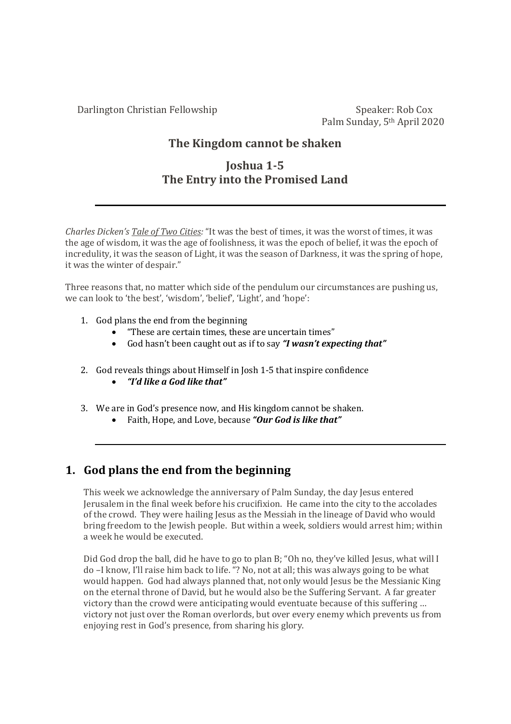Darlington Christian Fellowship Speaker: Rob Cox

Palm Sunday, 5th April 2020

# **The Kingdom cannot be shaken**

## **Joshua 1-5 The Entry into the Promised Land**

*Charles Dicken's Tale of Two Cities:* "It was the best of times, it was the worst of times, it was the age of wisdom, it was the age of foolishness, it was the epoch of belief, it was the epoch of incredulity, it was the season of Light, it was the season of Darkness, it was the spring of hope, it was the winter of despair."

Three reasons that, no matter which side of the pendulum our circumstances are pushing us, we can look to 'the best', 'wisdom', 'belief', 'Light', and 'hope':

- 1. God plans the end from the beginning<br>  $\bullet$  "These are certain times, these
	- "These are certain times, these are uncertain times"<br>• God hasn't been caught out as if to say "I wasn't exp
	- God hasn't been caught out as if to say *"I wasn't expecting that"*
- 2. God reveals things about Himself in Josh 1-5 that inspire confidence<br>  $\bullet$  "I'd like a God like that"
	- *"I'd like a God like that"*
- 3. We are in God's presence now, and His kingdom cannot be shaken.<br>• Faith. Hone, and Love, because "Our God is like that"
	- Faith, Hope, and Love, because *"Our God is like that"*

# **1. God plans the end from the beginning**

This week we acknowledge the anniversary of Palm Sunday, the day Jesus entered Jerusalem in the final week before his crucifixion. He came into the city to the accolades of the crowd. They were hailing Jesus as the Messiah in the lineage of David who would bring freedom to the Jewish people. But within a week, soldiers would arrest him; within a week he would be executed.

Did God drop the ball, did he have to go to plan B; "Oh no, they've killed Jesus, what will I do –I know, I'll raise him back to life. "? No, not at all; this was always going to be what would happen. God had always planned that, not only would Jesus be the Messianic King on the eternal throne of David, but he would also be the Suffering Servant. A far greater victory than the crowd were anticipating would eventuate because of this suffering … victory not just over the Roman overlords, but over every enemy which prevents us from enjoying rest in God's presence, from sharing his glory.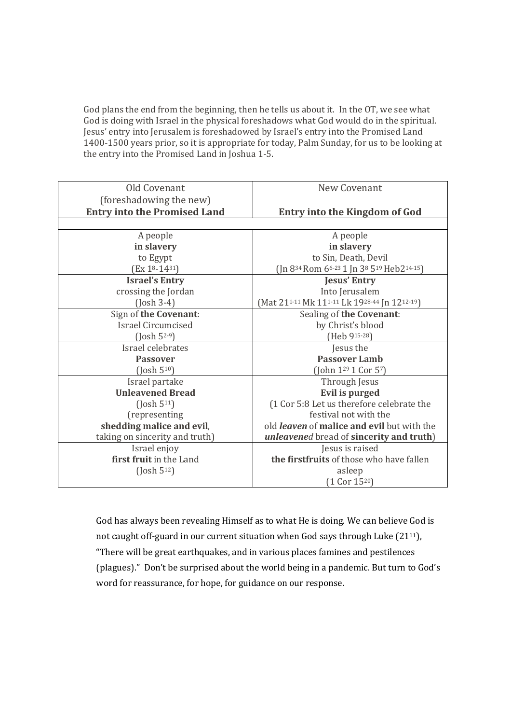God plans the end from the beginning, then he tells us about it. In the OT, we see what God is doing with Israel in the physical foreshadows what God would do in the spiritual. Jesus' entry into Jerusalem is foreshadowed by Israel's entry into the Promised Land 1400-1500 years prior, so it is appropriate for today, Palm Sunday, for us to be looking at the entry into the Promised Land in Joshua 1-5.

| Old Covenant                              | New Covenant                                                                                  |
|-------------------------------------------|-----------------------------------------------------------------------------------------------|
| (foreshadowing the new)                   |                                                                                               |
| <b>Entry into the Promised Land</b>       | <b>Entry into the Kingdom of God</b>                                                          |
|                                           |                                                                                               |
| A people                                  | A people                                                                                      |
| in slavery                                | in slavery                                                                                    |
| to Egypt                                  | to Sin, Death, Devil                                                                          |
| $\left( \text{Ex } 1^{8-14^{31}} \right)$ | (Jn 834 Rom 66-23 1 Jn 38 519 Heb214-15)                                                      |
| <b>Israel's Entry</b>                     | <b>Jesus' Entry</b>                                                                           |
| crossing the Jordan                       | Into Jerusalem                                                                                |
| $($ Josh 3-4 $)$                          | (Mat 21 <sup>1-11</sup> Mk 11 <sup>1-11</sup> Lk 19 <sup>28-44</sup> Jn 12 <sup>12-19</sup> ) |
| Sign of the Covenant:                     | Sealing of the Covenant:                                                                      |
| <b>Israel Circumcised</b>                 | by Christ's blood                                                                             |
| $($ Josh 5 <sup>2-9</sup> $)$             | (Heb 915-28)                                                                                  |
| Israel celebrates                         | Jesus the                                                                                     |
| <b>Passover</b>                           | <b>Passover Lamb</b>                                                                          |
| $($ [osh 5 <sup>10</sup> ]                | (John $1^{29}$ 1 Cor 57)                                                                      |
| Israel partake                            | Through Jesus                                                                                 |
| <b>Unleavened Bread</b>                   | <b>Evil is purged</b>                                                                         |
| $($ Josh 5 $^{11}$ $)$                    | (1 Cor 5:8 Let us therefore celebrate the                                                     |
| (representing                             | festival not with the                                                                         |
| shedding malice and evil,                 | old <i>leaven</i> of malice and evil but with the                                             |
| taking on sincerity and truth)            | unleavened bread of sincerity and truth)                                                      |
| Israel enjoy                              | Jesus is raised                                                                               |
| first fruit in the Land                   | the first fruits of those who have fallen                                                     |
| $($ Josh $5^{12})$                        | asleep                                                                                        |
|                                           | $(1$ Cor $15^{20})$                                                                           |

God has always been revealing Himself as to what He is doing. We can believe God is not caught off-guard in our current situation when God says through Luke (2111), "There will be great earthquakes, and in various places famines and pestilences (plagues)." Don't be surprised about the world being in a pandemic. But turn to God's word for reassurance, for hope, for guidance on our response.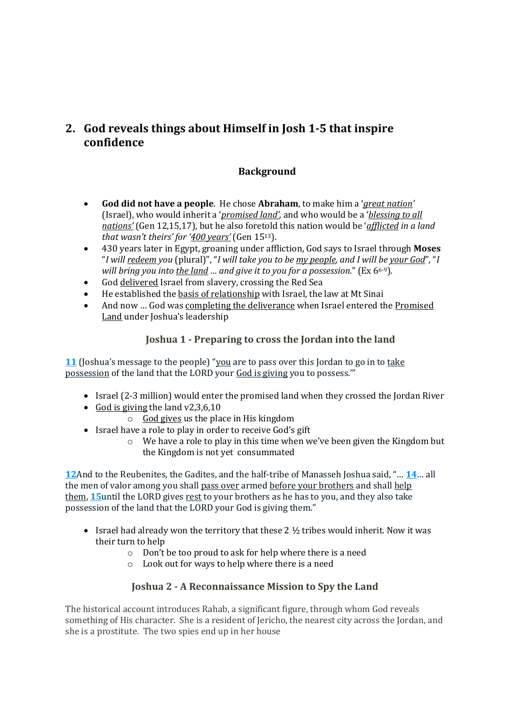# **2. God reveals things about Himself in Josh 1-5 that inspire confidence**

### **Background**

- **God did not have a people**. He chose **Abraham**, to make him a '*great nation'* (Israel), who would inherit a '*promised land'*, and who would be a '*blessing to all nations'* (Gen 12,15,17), but he also foretold this nation would be '*afflicted in a land that wasn't theirs' for '400 years'* (Gen 1513).
- 430 years later in Egypt, groaning under affliction, God says to Israel through **Moses** "*I will redeem you* (plural)", "*I will take you to be my people, and I will be your God*", "*I will bring you into the land … and give it to you for a possession.*" (Ex 66-9).
- God delivered Israel from slavery, crossing the Red Sea
- He established the basis of relationship with Israel, the law at Mt Sinai
- And now ... God was completing the deliverance when Israel entered the Promised Land under Joshua's leadership

## **Joshua 1 - Preparing to cross the Jordan into the land**

**[11](http://biblehub.com/joshua/1-11.htm)** (Joshua's message to the people) "you are to pass over this Jordan to go in to take possession of the land that the LORD your God is giving you to possess.'"

- Israel (2-3 million) would enter the promised land when they crossed the Jordan River
- God is giving the land v2,3,6,10
	- $\circ$  God gives us the place in His kingdom
- Israel have a role to play in order to receive God's gift
	- o We have a role to play in this time when we've been given the Kingdom but the Kingdom is not yet consummated

**[12](http://biblehub.com/joshua/1-12.htm)**And to the Reubenites, the Gadites, and the half-tribe of Manasseh Joshua said, "… **[14](http://biblehub.com/joshua/1-14.htm)**… all the men of valor among you shall pass over armed before your brothers and shall help them, **[15](http://biblehub.com/joshua/1-15.htm)**until the LORD gives rest to your brothers as he has to you, and they also take possession of the land that the LORD your God is giving them."

- Israel had already won the territory that these  $2\frac{1}{2}$  tribes would inherit. Now it was their turn to help
	- o Don't be too proud to ask for help where there is a need
	- o Look out for ways to help where there is a need

## **Joshua 2 - A Reconnaissance Mission to Spy the Land**

The historical account introduces Rahab, a significant figure, through whom God reveals something of His character. She is a resident of Jericho, the nearest city across the Jordan, and she is a prostitute. The two spies end up in her house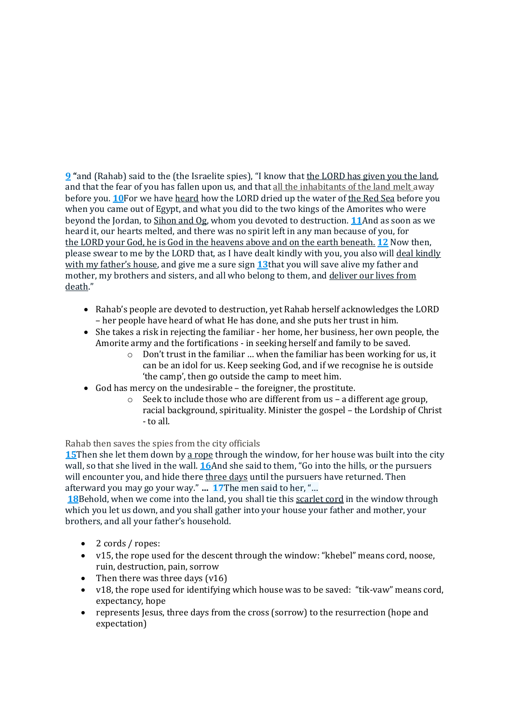**[9](http://biblehub.com/joshua/2-9.htm) "**and (Rahab) said to the (the Israelite spies), "I know that the LORD has given you the land, and that the fear of you has fallen upon us, and that all the inhabitants of the land melt away before you. **[10](http://biblehub.com/joshua/2-10.htm)**For we have heard how the LORD dried up the water of the Red Sea before you when you came out of Egypt, and what you did to the two kings of the Amorites who were beyond the Jordan, to Sihon and Og, whom you devoted to destruction. **[11](http://biblehub.com/joshua/2-11.htm)**And as soon as we heard it, our hearts melted, and there was no spirit left in any man because of you, for the LORD your God, he is God in the heavens above and on the earth beneath. **[12](http://biblehub.com/joshua/2-12.htm)** Now then, please swear to me by the LORD that, as I have dealt kindly with you, you also will deal kindly with my father's house, and give me a sure sign **[13](http://biblehub.com/joshua/2-13.htm)**that you will save alive my father and mother, my brothers and sisters, and all who belong to them, and deliver our lives from death."

- Rahab's people are devoted to destruction, yet Rahab herself acknowledges the LORD – her people have heard of what He has done, and she puts her trust in him.
- She takes a risk in rejecting the familiar her home, her business, her own people, the Amorite army and the fortifications - in seeking herself and family to be saved.
	- o Don't trust in the familiar … when the familiar has been working for us, it can be an idol for us. Keep seeking God, and if we recognise he is outside 'the camp', then go outside the camp to meet him.
- God has mercy on the undesirable the foreigner, the prostitute.<br>  $\circ$  Seek to include those who are different from us a di
	- Seek to include those who are different from us a different age group, racial background, spirituality. Minister the gospel – the Lordship of Christ - to all.

Rahab then saves the spies from the city officials

**[15](http://biblehub.com/joshua/2-15.htm)**Then she let them down by a rope through the window, for her house was built into the city wall, so that she lived in the wall. **[16](http://biblehub.com/joshua/2-16.htm)**And she said to them, "Go into the hills, or the pursuers will encounter you, and hide there three days until the pursuers have returned. Then afterward you may go your way." **… [17](https://biblehub.com/joshua/2-17.htm)**The men said to her, "…

**[18](https://biblehub.com/joshua/2-18.htm)**Behold, when we come into the land, you shall tie this scarlet cord in the window through which you let us down, and you shall gather into your house your father and mother, your brothers, and all your father's household.

- 2 cords / ropes:
- v15, the rope used for the descent through the window: "khebel" means cord, noose, ruin, destruction, pain, sorrow
- Then there was three days  $(v16)$
- v18, the rope used for identifying which house was to be saved: "tik-vaw" means cord, expectancy, hope
- represents Jesus, three days from the cross (sorrow) to the resurrection (hope and expectation)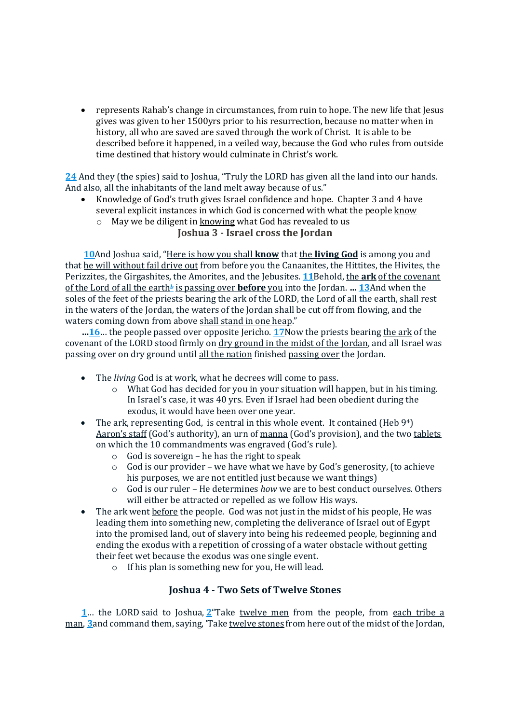• represents Rahab's change in circumstances, from ruin to hope. The new life that Jesus gives was given to her 1500yrs prior to his resurrection, because no matter when in history, all who are saved are saved through the work of Christ. It is able to be described before it happened, in a veiled way, because the God who rules from outside time destined that history would culminate in Christ's work.

**[24](http://biblehub.com/joshua/2-24.htm)** And they (the spies) said to Joshua, "Truly the LORD has given all the land into our hands. And also, all the inhabitants of the land melt away because of us."

- Knowledge of God's truth gives Israel confidence and hope. Chapter 3 and 4 have several explicit instances in which God is concerned with what the people know
	- $\circ$  May we be diligent in knowing what God has revealed to us

### **Joshua 3 - Israel cross the Jordan**

**[10](http://biblehub.com/joshua/3-10.htm)**And Joshua said, "Here is how you shall **know** that the **living God** is among you and that he will without fail drive out from before you the Canaanites, the Hittites, the Hivites, the Perizzites, the Girgashites, the Amorites, and the Jebusites. **[11](http://biblehub.com/joshua/3-11.htm)**Behold, the **ark** of the covenant of the Lord of all the earth*[b](https://biblehub.com/esv/joshua/3.htm#footnotes)* is passing over **before** you into the Jordan. **… [13](http://biblehub.com/joshua/3-13.htm)**And when the soles of the feet of the priests bearing the ark of the LORD, the Lord of all the earth, shall rest in the waters of the Jordan, the waters of the Jordan shall be cut off from flowing, and the waters coming down from above shall stand in one heap."

**[…16](http://biblehub.com/joshua/3-16.htm)**… the people passed over opposite Jericho. **[17](http://biblehub.com/joshua/3-17.htm)**Now the priests bearing the ark of the covenant of the LORD stood firmly on dry ground in the midst of the Jordan, and all Israel was passing over on dry ground until all the nation finished passing over the Jordan.

- The *living* God is at work, what he decrees will come to pass.
	- o What God has decided for you in your situation will happen, but in his timing. In Israel's case, it was 40 yrs. Even if Israel had been obedient during the exodus, it would have been over one year.
- The ark, representing God, is central in this whole event. It contained (Heb 94) Aaron's staff (God's authority), an urn of manna (God's provision), and the two tablets on which the 10 commandments was engraved (God's rule).
	- $\circ$  God is sovereign he has the right to speak
	- $\circ$  God is our provider we have what we have by God's generosity, (to achieve his purposes, we are not entitled just because we want things)
	- God is our ruler He determines *how* we are to best conduct ourselves. Others will either be attracted or repelled as we follow His ways.
- The ark went before the people. God was not just in the midst of his people, He was leading them into something new, completing the deliverance of Israel out of Egypt into the promised land, out of slavery into being his redeemed people, beginning and ending the exodus with a repetition of crossing of a water obstacle without getting their feet wet because the exodus was one single event.
	- o If his plan is something new for you, He will lead.

### **Joshua 4 - Two Sets of Twelve Stones**

**[1](http://biblehub.com/joshua/4-1.htm)**… the LORD said to Joshua, **[2](http://biblehub.com/joshua/4-2.htm)**"Take twelve men from the people, from each tribe a man, **[3](http://biblehub.com/joshua/4-3.htm)**and command them, saying, 'Take twelve stones from here out of the midst of the Jordan,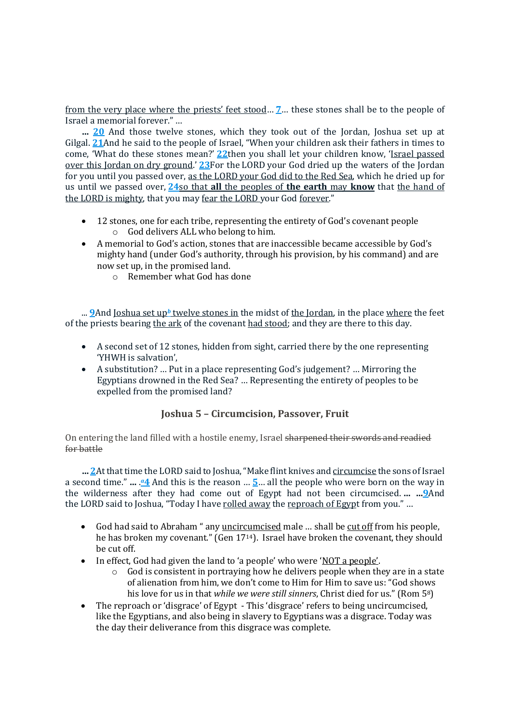from the very place where the priests' feet stood… **[7](http://biblehub.com/joshua/4-7.htm)**… these stones shall be to the people of Israel a memorial forever." …

**… [20](http://biblehub.com/joshua/4-20.htm)** And those twelve stones, which they took out of the Jordan, Joshua set up at Gilgal. **[21](http://biblehub.com/joshua/4-21.htm)**And he said to the people of Israel, "When your children ask their fathers in times to come, 'What do these stones mean?' **[22](http://biblehub.com/joshua/4-22.htm)**then you shall let your children know, 'Israel passed over this Jordan on dry ground.' **[23](http://biblehub.com/joshua/4-23.htm)**For the LORD your God dried up the waters of the Jordan for you until you passed over, as the LORD your God did to the Red Sea, which he dried up for us until we passed over, **[24](http://biblehub.com/joshua/4-24.htm)**so that **all** the peoples of **the earth** may **know** that the hand of the LORD is mighty, that you may fear the LORD your God forever."

- 12 stones, one for each tribe, representing the entirety of God's covenant people o God delivers ALL who belong to him.
- A memorial to God's action, stones that are inaccessible became accessible by God's mighty hand (under God's authority, through his provision, by his command) and are now set up, in the promised land.
	- o Remember what God has done

... **[9](http://biblehub.com/joshua/4-9.htm)**And Joshua set up*[b](https://biblehub.com/esv/joshua/4.htm#footnotes)* twelve stones in the midst of the Jordan, in the place where the feet of the priests bearing the ark of the covenant had stood; and they are there to this day.

- A second set of 12 stones, hidden from sight, carried there by the one representing 'YHWH is salvation',
- A substitution? … Put in a place representing God's judgement? … Mirroring the Egyptians drowned in the Red Sea? … Representing the entirety of peoples to be expelled from the promised land?

### **Joshua 5 – Circumcision, Passover, Fruit**

On entering the land filled with a hostile enemy, Israel sharpened their swords and readied for battle

**[… 2](http://biblehub.com/joshua/5-2.htm)**At that time the LORD said to Joshua, "Make flint knives and circumcise the sons of Israel a second time." **…** . *[a](https://biblehub.com/esv/joshua/5.htm#footnotes)***[4](http://biblehub.com/joshua/5-4.htm)** And this is the reason … **[5](http://biblehub.com/joshua/5-5.htm)**… all the people who were born on the way in the wilderness after they had come out of Egypt had not been circumcised. **… […9](http://biblehub.com/joshua/5-9.htm)**And the LORD said to Joshua, "Today I have rolled away the reproach of Egypt from you." …

- God had said to Abraham " any uncircumcised male ... shall be cut off from his people, he has broken my covenant." (Gen 1714). Israel have broken the covenant, they should be cut off.
- In effect, God had given the land to 'a people' who were '<u>NOT a people'</u>.<br>  $\circ$  God is consistent in portraving how he delivers people when the
	- God is consistent in portraying how he delivers people when they are in a state of alienation from him, we don't come to Him for Him to save us: "God shows his love for us in that *while we were still sinners*, Christ died for us." (Rom 58)
- The reproach or 'disgrace' of Egypt This 'disgrace' refers to being uncircumcised, like the Egyptians, and also being in slavery to Egyptians was a disgrace. Today was the day their deliverance from this disgrace was complete.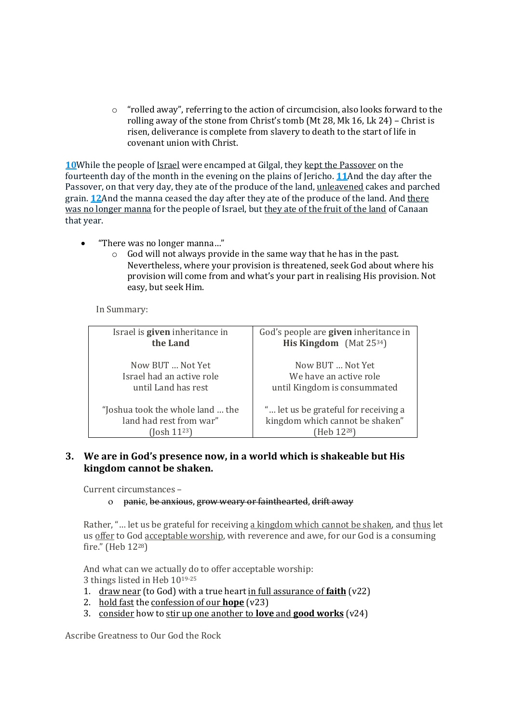o "rolled away", referring to the action of circumcision, also looks forward to the rolling away of the stone from Christ's tomb (Mt 28, Mk 16, Lk 24) – Christ is risen, deliverance is complete from slavery to death to the start of life in covenant union with Christ.

**[10](http://biblehub.com/joshua/5-10.htm)**While the people of Israel were encamped at Gilgal, they kept the Passover on the fourteenth day of the month in the evening on the plains of Jericho. **[11](http://biblehub.com/joshua/5-11.htm)**And the day after the Passover, on that very day, they ate of the produce of the land, unleavened cakes and parched grain. **[12](http://biblehub.com/joshua/5-12.htm)**And the manna ceased the day after they ate of the produce of the land. And there was no longer manna for the people of Israel, but they ate of the fruit of the land of Canaan that year.

- "There was no longer manna…"
	- o God will not always provide in the same way that he has in the past. Nevertheless, where your provision is threatened, seek God about where his provision will come from and what's your part in realising His provision. Not easy, but seek Him.

In Summary:

| Israel is given inheritance in                   | God's people are given inheritance in                  |
|--------------------------------------------------|--------------------------------------------------------|
| the Land                                         | <b>His Kingdom</b> (Mat $25^{34}$ )                    |
| Now BUT  Not Yet                                 | Now BUT  Not Yet                                       |
| Israel had an active role<br>until Land has rest | We have an active role<br>until Kingdom is consummated |
|                                                  |                                                        |
| "Joshua took the whole land  the                 | " let us be grateful for receiving a                   |
| land had rest from war"                          | kingdom which cannot be shaken"                        |
| (Josh 11 <sup>23</sup> )                         | (Heb 1228)                                             |

## **3. We are in God's presence now, in a world which is shakeable but His kingdom cannot be shaken.**

Current circumstances –

### ο panic, be anxious, grow weary or fainthearted, drift away

Rather, "… let us be grateful for receiving a kingdom which cannot be shaken, and thus let us offer to God acceptable worship, with reverence and awe, for our God is a consuming fire." (Heb 1228)

And what can we actually do to offer acceptable worship: 3 things listed in Heb 1019-25

- 1. draw near (to God) with a true heart in full assurance of **faith** (v22)
- 2. hold fast the confession of our **hope** (v23)
- 3. consider how to stir up one another to **love** and **good works** (v24)

Ascribe Greatness to Our God the Rock